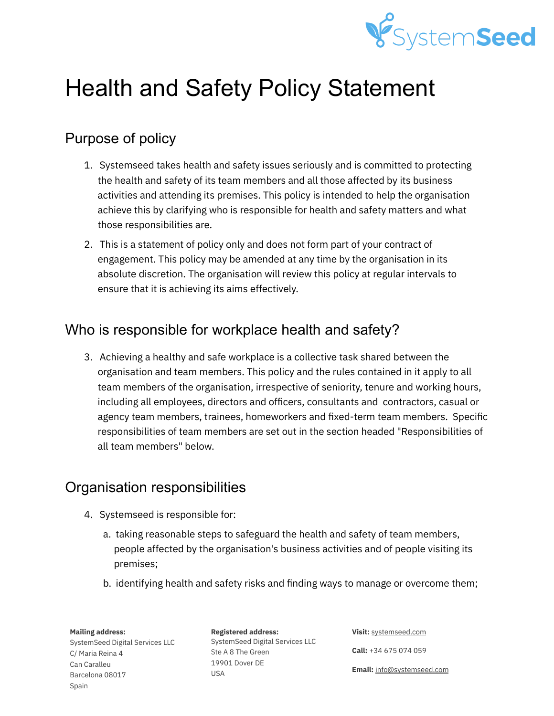

# Health and Safety Policy Statement

## Purpose of policy

- 1. Systemseed takes health and safety issues seriously and is committed to protecting the health and safety of its team members and all those affected by its business activities and attending its premises. This policy is intended to help the organisation achieve this by clarifying who is responsible for health and safety matters and what those responsibilities are.
- 2. This is a statement of policy only and does not form part of your contract of engagement. This policy may be amended at any time by the organisation in its absolute discretion. The organisation will review this policy at regular intervals to ensure that it is achieving its aims effectively.

## Who is responsible for workplace health and safety?

3. Achieving a healthy and safe workplace is a collective task shared between the organisation and team members. This policy and the rules contained in it apply to all team members of the organisation, irrespective of seniority, tenure and working hours, including all employees, directors and officers, consultants and contractors, casual or agency team members, trainees, homeworkers and fixed-term team members. Specific responsibilities of team members are set out in the section headed "Responsibilities of all team members" below.

## Organisation responsibilities

- 4. Systemseed is responsible for:
	- a. taking reasonable steps to safeguard the health and safety of team members, people affected by the organisation's business activities and of people visiting its premises;
	- b. identifying health and safety risks and finding ways to manage or overcome them;

**Mailing address:**

SystemSeed Digital Services LLC C/ Maria Reina 4 Can Caralleu Barcelona 08017 Spain

**Registered address:** SystemSeed Digital Services LLC Ste A 8 The Green 19901 Dover DE USA

**Visit:** [systemseed.com](http://www.systemseed.com)

**Call:** +34 675 074 059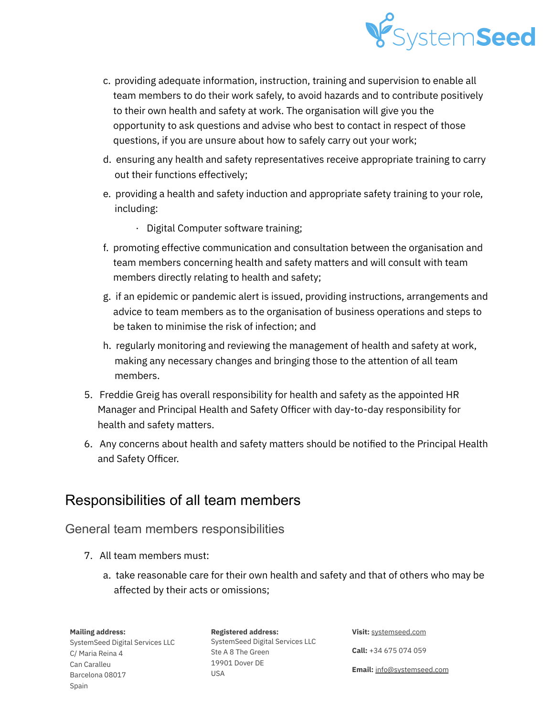

- c. providing adequate information, instruction, training and supervision to enable all team members to do their work safely, to avoid hazards and to contribute positively to their own health and safety at work. The organisation will give you the opportunity to ask questions and advise who best to contact in respect of those questions, if you are unsure about how to safely carry out your work;
- d. ensuring any health and safety representatives receive appropriate training to carry out their functions effectively;
- e. providing a health and safety induction and appropriate safety training to your role, including:
	- · Digital Computer software training;
- f. promoting effective communication and consultation between the organisation and team members concerning health and safety matters and will consult with team members directly relating to health and safety;
- g. if an epidemic or pandemic alert is issued, providing instructions, arrangements and advice to team members as to the organisation of business operations and steps to be taken to minimise the risk of infection; and
- h. regularly monitoring and reviewing the management of health and safety at work, making any necessary changes and bringing those to the attention of all team members.
- 5. Freddie Greig has overall responsibility for health and safety as the appointed HR Manager and Principal Health and Safety Officer with day-to-day responsibility for health and safety matters.
- 6. Any concerns about health and safety matters should be notified to the Principal Health and Safety Officer.

## Responsibilities of all team members

### General team members responsibilities

- 7. All team members must:
	- a. take reasonable care for their own health and safety and that of others who may be affected by their acts or omissions;

#### **Mailing address:**

SystemSeed Digital Services LLC C/ Maria Reina 4 Can Caralleu Barcelona 08017 Spain

**Registered address:** SystemSeed Digital Services LLC Ste A 8 The Green 19901 Dover DE USA

**Visit:** [systemseed.com](http://www.systemseed.com)

**Call:** +34 675 074 059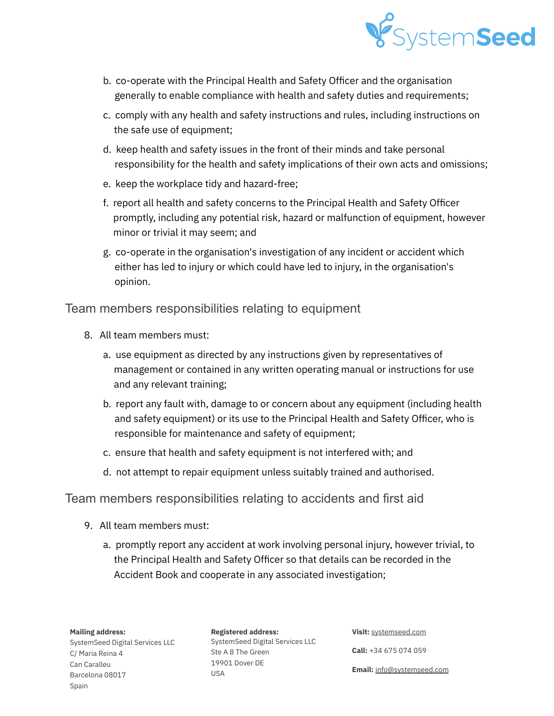

- b. co-operate with the Principal Health and Safety Officer and the organisation generally to enable compliance with health and safety duties and requirements;
- c. comply with any health and safety instructions and rules, including instructions on the safe use of equipment;
- d. keep health and safety issues in the front of their minds and take personal responsibility for the health and safety implications of their own acts and omissions;
- e. keep the workplace tidy and hazard-free;
- f. report all health and safety concerns to the Principal Health and Safety Officer promptly, including any potential risk, hazard or malfunction of equipment, however minor or trivial it may seem; and
- g. co-operate in the organisation's investigation of any incident or accident which either has led to injury or which could have led to injury, in the organisation's opinion.

Team members responsibilities relating to equipment

- 8. All team members must:
	- a. use equipment as directed by any instructions given by representatives of management or contained in any written operating manual or instructions for use and any relevant training;
	- b. report any fault with, damage to or concern about any equipment (including health and safety equipment) or its use to the Principal Health and Safety Officer, who is responsible for maintenance and safety of equipment;
	- c. ensure that health and safety equipment is not interfered with; and
	- d. not attempt to repair equipment unless suitably trained and authorised.

### Team members responsibilities relating to accidents and first aid

- 9. All team members must:
	- a. promptly report any accident at work involving personal injury, however trivial, to the Principal Health and Safety Officer so that details can be recorded in the Accident Book and cooperate in any associated investigation;

**Mailing address:**

SystemSeed Digital Services LLC C/ Maria Reina 4 Can Caralleu Barcelona 08017 Spain

**Registered address:** SystemSeed Digital Services LLC Ste A 8 The Green 19901 Dover DE USA

**Visit:** [systemseed.com](http://www.systemseed.com)

**Call:** +34 675 074 059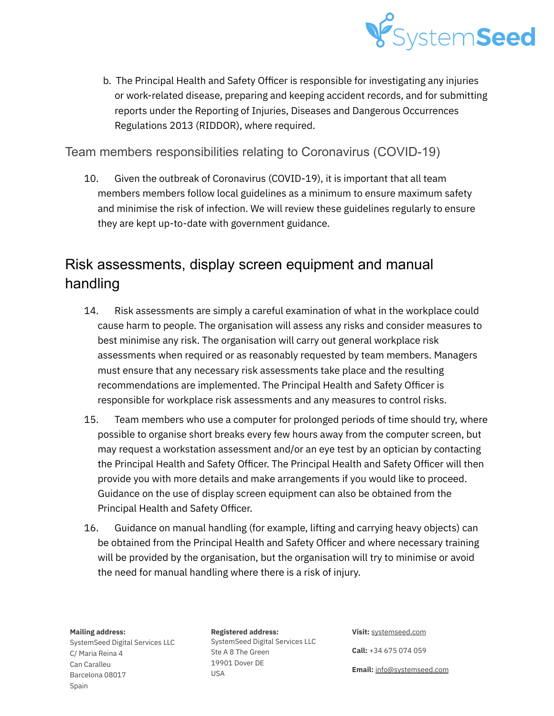

b. The Principal Health and Safety Officer is responsible for investigating any injuries or work-related disease, preparing and keeping accident records, and for submitting reports under the Reporting of Injuries, Diseases and Dangerous Occurrences Regulations 2013 (RIDDOR), where required.

## Team members responsibilities relating to Coronavirus (COVID-19)

10. Given the outbreak of Coronavirus (COVID-19), it is important that all team members members follow local guidelines as a minimum to ensure maximum safety and minimise the risk of infection. We will review these guidelines regularly to ensure they are kept up-to-date with government guidance.

# Risk assessments, display screen equipment and manual handling

- 14. Risk assessments are simply a careful examination of what in the workplace could cause harm to people. The organisation will assess any risks and consider measures to best minimise any risk. The organisation will carry out general workplace risk assessments when required or as reasonably requested by team members. Managers must ensure that any necessary risk assessments take place and the resulting recommendations are implemented. The Principal Health and Safety Officer is responsible for workplace risk assessments and any measures to control risks.
- 15. Team members who use a computer for prolonged periods of time should try, where possible to organise short breaks every few hours away from the computer screen, but may request a workstation assessment and/or an eye test by an optician by contacting the Principal Health and Safety Officer. The Principal Health and Safety Officer will then provide you with more details and make arrangements if you would like to proceed. Guidance on the use of display screen equipment can also be obtained from the Principal Health and Safety Officer.
- 16. Guidance on manual handling (for example, lifting and carrying heavy objects) can be obtained from the Principal Health and Safety Officer and where necessary training will be provided by the organisation, but the organisation will try to minimise or avoid the need for manual handling where there is a risk of injury.

#### **Mailing address:**

SystemSeed Digital Services LLC C/ Maria Reina 4 Can Caralleu Barcelona 08017 Spain

**Registered address:** SystemSeed Digital Services LLC Ste A 8 The Green 19901 Dover DE USA

**Visit:** [systemseed.com](http://www.systemseed.com)

**Call:** +34 675 074 059